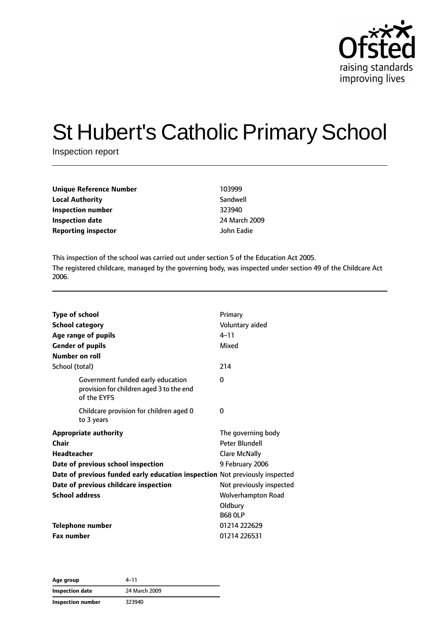

# St Hubert's Catholic Primary School

Inspection report

| Unique Reference Number    | 103999        |
|----------------------------|---------------|
| <b>Local Authority</b>     | Sandwell      |
| Inspection number          | 323940        |
| <b>Inspection date</b>     | 24 March 2009 |
| <b>Reporting inspector</b> | John Eadie    |

This inspection of the school was carried out under section 5 of the Education Act 2005. The registered childcare, managed by the governing body, was inspected under section 49 of the Childcare Act 2006.

| <b>Type of school</b>                 |                                                                               | Primary                  |
|---------------------------------------|-------------------------------------------------------------------------------|--------------------------|
| <b>School category</b>                |                                                                               | Voluntary aided          |
| Age range of pupils                   |                                                                               | $4 - 11$                 |
| <b>Gender of pupils</b>               |                                                                               | Mixed                    |
| Number on roll                        |                                                                               |                          |
| School (total)                        |                                                                               | 214                      |
| of the EYFS                           | Government funded early education<br>provision for children aged 3 to the end | 0                        |
| to 3 years                            | Childcare provision for children aged 0                                       | 0                        |
| <b>Appropriate authority</b>          |                                                                               | The governing body       |
| Chair                                 |                                                                               | Peter Blundell           |
| <b>Headteacher</b>                    |                                                                               | <b>Clare McNally</b>     |
| Date of previous school inspection    |                                                                               | 9 February 2006          |
|                                       | Date of previous funded early education inspection Not previously inspected   |                          |
| Date of previous childcare inspection |                                                                               | Not previously inspected |
| <b>School address</b>                 |                                                                               | Wolverhampton Road       |
|                                       |                                                                               | Oldbury                  |
|                                       |                                                                               | <b>B68 OLP</b>           |
| <b>Telephone number</b>               |                                                                               | 01214 222629             |
| <b>Fax number</b>                     |                                                                               | 01214 226531             |

**Age group** 4–11 **Inspection date** 24 March 2009 **Inspection number** 323940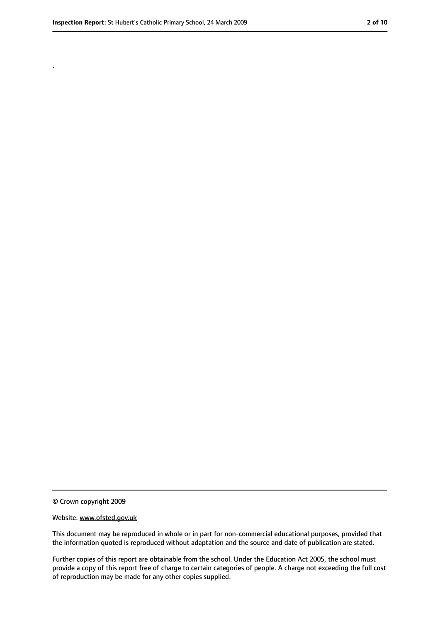.

<sup>©</sup> Crown copyright 2009

Website: www.ofsted.gov.uk

This document may be reproduced in whole or in part for non-commercial educational purposes, provided that the information quoted is reproduced without adaptation and the source and date of publication are stated.

Further copies of this report are obtainable from the school. Under the Education Act 2005, the school must provide a copy of this report free of charge to certain categories of people. A charge not exceeding the full cost of reproduction may be made for any other copies supplied.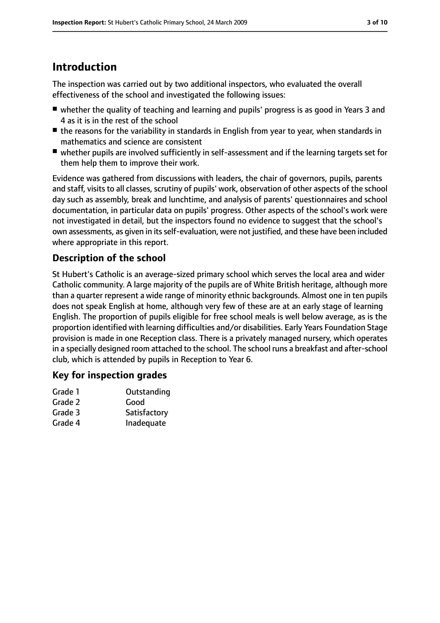# **Introduction**

The inspection was carried out by two additional inspectors, who evaluated the overall effectiveness of the school and investigated the following issues:

- whether the quality of teaching and learning and pupils' progress is as good in Years 3 and 4 as it is in the rest of the school
- the reasons for the variability in standards in English from year to year, when standards in mathematics and science are consistent
- whether pupils are involved sufficiently in self-assessment and if the learning targets set for them help them to improve their work.

Evidence was gathered from discussions with leaders, the chair of governors, pupils, parents and staff, visits to all classes, scrutiny of pupils' work, observation of other aspects of the school day such as assembly, break and lunchtime, and analysis of parents' questionnaires and school documentation, in particular data on pupils' progress. Other aspects of the school's work were not investigated in detail, but the inspectors found no evidence to suggest that the school's own assessments, as given in its self-evaluation, were not justified, and these have been included where appropriate in this report.

#### **Description of the school**

St Hubert's Catholic is an average-sized primary school which serves the local area and wider Catholic community. A large majority of the pupils are of White British heritage, although more than a quarter represent a wide range of minority ethnic backgrounds. Almost one in ten pupils does not speak English at home, although very few of these are at an early stage of learning English. The proportion of pupils eligible for free school meals is well below average, as is the proportion identified with learning difficulties and/or disabilities. Early Years Foundation Stage provision is made in one Reception class. There is a privately managed nursery, which operates in a specially designed room attached to the school. The school runs a breakfast and after-school club, which is attended by pupils in Reception to Year 6.

#### **Key for inspection grades**

| Grade 1 | Outstanding  |
|---------|--------------|
| Grade 2 | Good         |
| Grade 3 | Satisfactory |
| Grade 4 | Inadequate   |
|         |              |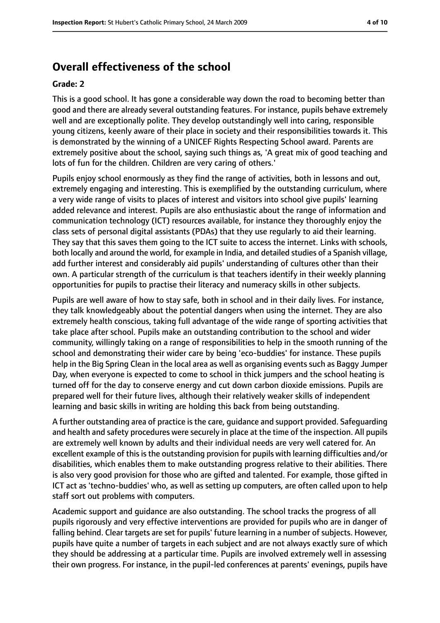#### **Overall effectiveness of the school**

#### **Grade: 2**

This is a good school. It has gone a considerable way down the road to becoming better than good and there are already several outstanding features. For instance, pupils behave extremely well and are exceptionally polite. They develop outstandingly well into caring, responsible young citizens, keenly aware of their place in society and their responsibilities towards it. This is demonstrated by the winning of a UNICEF Rights Respecting School award. Parents are extremely positive about the school, saying such things as, 'A great mix of good teaching and lots of fun for the children. Children are very caring of others.'

Pupils enjoy school enormously as they find the range of activities, both in lessons and out, extremely engaging and interesting. This is exemplified by the outstanding curriculum, where a very wide range of visits to places of interest and visitors into school give pupils' learning added relevance and interest. Pupils are also enthusiastic about the range of information and communication technology (ICT) resources available, for instance they thoroughly enjoy the class sets of personal digital assistants (PDAs) that they use regularly to aid their learning. They say that this saves them going to the ICT suite to access the internet. Links with schools, both locally and around the world, for example in India, and detailed studies of a Spanish village, add further interest and considerably aid pupils' understanding of cultures other than their own. A particular strength of the curriculum is that teachers identify in their weekly planning opportunities for pupils to practise their literacy and numeracy skills in other subjects.

Pupils are well aware of how to stay safe, both in school and in their daily lives. For instance, they talk knowledgeably about the potential dangers when using the internet. They are also extremely health conscious, taking full advantage of the wide range of sporting activities that take place after school. Pupils make an outstanding contribution to the school and wider community, willingly taking on a range of responsibilities to help in the smooth running of the school and demonstrating their wider care by being 'eco-buddies' for instance. These pupils help in the Big Spring Clean in the local area as well as organising events such as Baggy Jumper Day, when everyone is expected to come to school in thick jumpers and the school heating is turned off for the day to conserve energy and cut down carbon dioxide emissions. Pupils are prepared well for their future lives, although their relatively weaker skills of independent learning and basic skills in writing are holding this back from being outstanding.

A further outstanding area of practice is the care, guidance and support provided. Safeguarding and health and safety procedures were securely in place at the time of the inspection. All pupils are extremely well known by adults and their individual needs are very well catered for. An excellent example of this is the outstanding provision for pupils with learning difficulties and/or disabilities, which enables them to make outstanding progress relative to their abilities. There is also very good provision for those who are gifted and talented. For example, those gifted in ICT act as 'techno-buddies' who, as well as setting up computers, are often called upon to help staff sort out problems with computers.

Academic support and guidance are also outstanding. The school tracks the progress of all pupils rigorously and very effective interventions are provided for pupils who are in danger of falling behind. Clear targets are set for pupils' future learning in a number of subjects. However, pupils have quite a number of targets in each subject and are not always exactly sure of which they should be addressing at a particular time. Pupils are involved extremely well in assessing their own progress. For instance, in the pupil-led conferences at parents' evenings, pupils have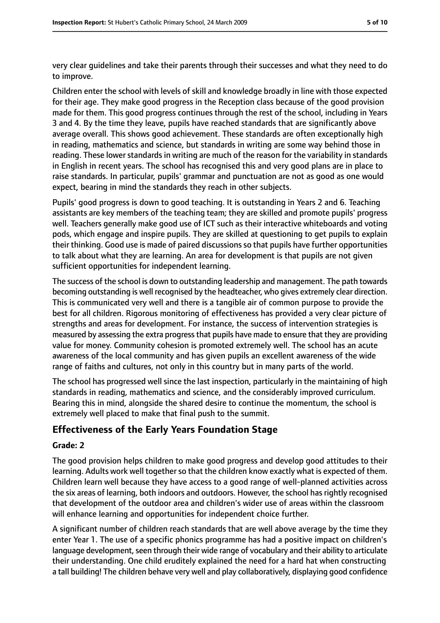very clear guidelines and take their parents through their successes and what they need to do to improve.

Children enter the school with levels of skill and knowledge broadly in line with those expected for their age. They make good progress in the Reception class because of the good provision made for them. This good progress continues through the rest of the school, including in Years 3 and 4. By the time they leave, pupils have reached standards that are significantly above average overall. This shows good achievement. These standards are often exceptionally high in reading, mathematics and science, but standards in writing are some way behind those in reading. These lower standards in writing are much of the reason for the variability in standards in English in recent years. The school has recognised this and very good plans are in place to raise standards. In particular, pupils' grammar and punctuation are not as good as one would expect, bearing in mind the standards they reach in other subjects.

Pupils' good progress is down to good teaching. It is outstanding in Years 2 and 6. Teaching assistants are key members of the teaching team; they are skilled and promote pupils' progress well. Teachers generally make good use of ICT such as their interactive whiteboards and voting pods, which engage and inspire pupils. They are skilled at questioning to get pupils to explain their thinking. Good use is made of paired discussions so that pupils have further opportunities to talk about what they are learning. An area for development is that pupils are not given sufficient opportunities for independent learning.

The success of the school is down to outstanding leadership and management. The path towards becoming outstanding is well recognised by the headteacher, who gives extremely clear direction. This is communicated very well and there is a tangible air of common purpose to provide the best for all children. Rigorous monitoring of effectiveness has provided a very clear picture of strengths and areas for development. For instance, the success of intervention strategies is measured by assessing the extra progressthat pupils have made to ensure that they are providing value for money. Community cohesion is promoted extremely well. The school has an acute awareness of the local community and has given pupils an excellent awareness of the wide range of faiths and cultures, not only in this country but in many parts of the world.

The school has progressed well since the last inspection, particularly in the maintaining of high standards in reading, mathematics and science, and the considerably improved curriculum. Bearing this in mind, alongside the shared desire to continue the momentum, the school is extremely well placed to make that final push to the summit.

#### **Effectiveness of the Early Years Foundation Stage**

#### **Grade: 2**

The good provision helps children to make good progress and develop good attitudes to their learning. Adults work well together so that the children know exactly what is expected of them. Children learn well because they have access to a good range of well-planned activities across the six areas of learning, both indoors and outdoors. However, the school has rightly recognised that development of the outdoor area and children's wider use of areas within the classroom will enhance learning and opportunities for independent choice further.

A significant number of children reach standards that are well above average by the time they enter Year 1. The use of a specific phonics programme has had a positive impact on children's language development, seen through their wide range of vocabulary and their ability to articulate their understanding. One child eruditely explained the need for a hard hat when constructing a tall building! The children behave very well and play collaboratively, displaying good confidence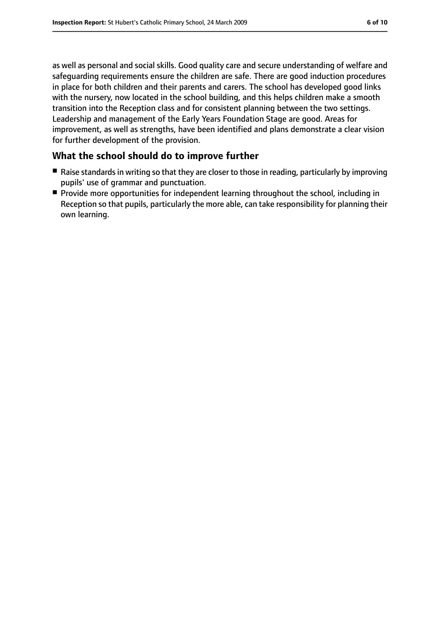as well as personal and social skills. Good quality care and secure understanding of welfare and safeguarding requirements ensure the children are safe. There are good induction procedures in place for both children and their parents and carers. The school has developed good links with the nursery, now located in the school building, and this helps children make a smooth transition into the Reception class and for consistent planning between the two settings. Leadership and management of the Early Years Foundation Stage are good. Areas for improvement, as well as strengths, have been identified and plans demonstrate a clear vision for further development of the provision.

#### **What the school should do to improve further**

- Raise standards in writing so that they are closer to those in reading, particularly by improving pupils' use of grammar and punctuation.
- Provide more opportunities for independent learning throughout the school, including in Reception so that pupils, particularly the more able, can take responsibility for planning their own learning.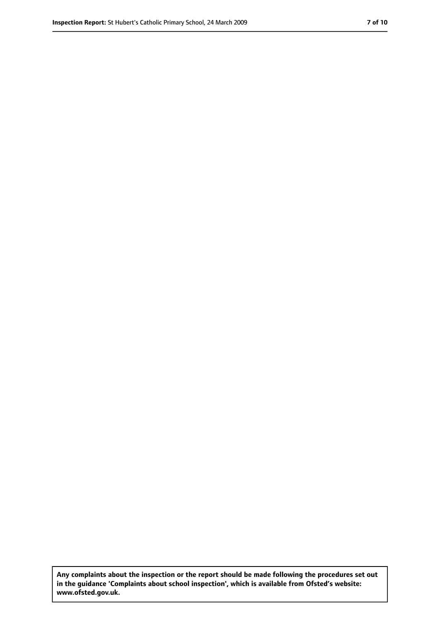**Any complaints about the inspection or the report should be made following the procedures set out in the guidance 'Complaints about school inspection', which is available from Ofsted's website: www.ofsted.gov.uk.**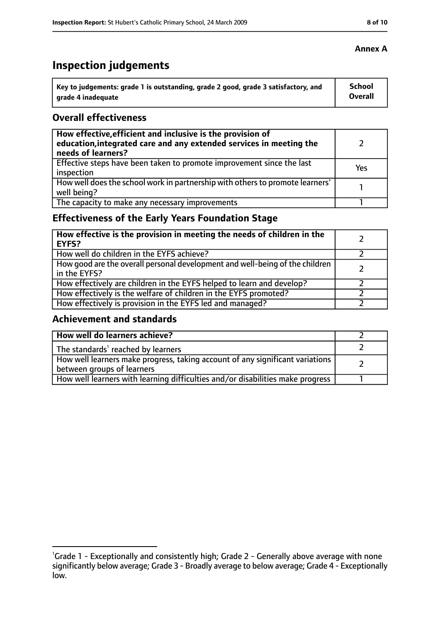# **Inspection judgements**

| Key to judgements: grade 1 is outstanding, grade 2 good, grade 3 satisfactory, and | School  |
|------------------------------------------------------------------------------------|---------|
| arade 4 inadequate                                                                 | Overall |

#### **Overall effectiveness**

| How effective, efficient and inclusive is the provision of<br>education, integrated care and any extended services in meeting the<br>needs of learners? |     |
|---------------------------------------------------------------------------------------------------------------------------------------------------------|-----|
| Effective steps have been taken to promote improvement since the last<br>inspection                                                                     | Yes |
| How well does the school work in partnership with others to promote learners'<br>well being?                                                            |     |
| The capacity to make any necessary improvements                                                                                                         |     |

## **Effectiveness of the Early Years Foundation Stage**

| How effective is the provision in meeting the needs of children in the<br><b>EYFS?</b>       |  |
|----------------------------------------------------------------------------------------------|--|
| How well do children in the EYFS achieve?                                                    |  |
| How good are the overall personal development and well-being of the children<br>in the EYFS? |  |
| How effectively are children in the EYFS helped to learn and develop?                        |  |
| How effectively is the welfare of children in the EYFS promoted?                             |  |
| How effectively is provision in the EYFS led and managed?                                    |  |

#### **Achievement and standards**

| How well do learners achieve?                                                                               |  |
|-------------------------------------------------------------------------------------------------------------|--|
| The standards <sup>1</sup> reached by learners                                                              |  |
| How well learners make progress, taking account of any significant variations<br>between groups of learners |  |
| How well learners with learning difficulties and/or disabilities make progress                              |  |

#### **Annex A**

<sup>&</sup>lt;sup>1</sup>Grade 1 - Exceptionally and consistently high; Grade 2 - Generally above average with none significantly below average; Grade 3 - Broadly average to below average; Grade 4 - Exceptionally low.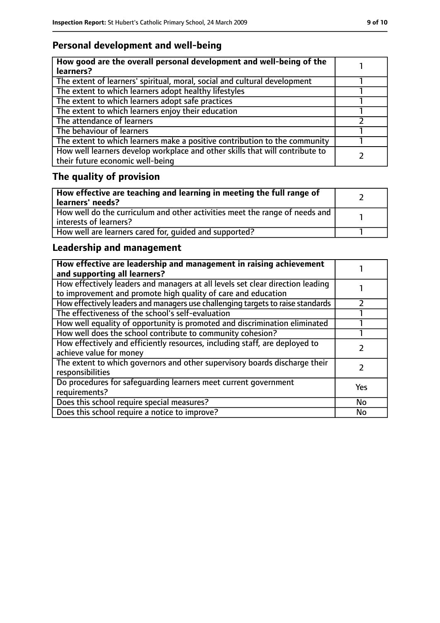## **Personal development and well-being**

| How good are the overall personal development and well-being of the<br>learners?                                 |  |
|------------------------------------------------------------------------------------------------------------------|--|
| The extent of learners' spiritual, moral, social and cultural development                                        |  |
| The extent to which learners adopt healthy lifestyles                                                            |  |
| The extent to which learners adopt safe practices                                                                |  |
| The extent to which learners enjoy their education                                                               |  |
| The attendance of learners                                                                                       |  |
| The behaviour of learners                                                                                        |  |
| The extent to which learners make a positive contribution to the community                                       |  |
| How well learners develop workplace and other skills that will contribute to<br>their future economic well-being |  |

# **The quality of provision**

| How effective are teaching and learning in meeting the full range of<br>learners' needs?              |  |
|-------------------------------------------------------------------------------------------------------|--|
| How well do the curriculum and other activities meet the range of needs and<br>interests of learners? |  |
| How well are learners cared for, quided and supported?                                                |  |

## **Leadership and management**

| How effective are leadership and management in raising achievement<br>and supporting all learners?                                              |           |
|-------------------------------------------------------------------------------------------------------------------------------------------------|-----------|
| How effectively leaders and managers at all levels set clear direction leading<br>to improvement and promote high quality of care and education |           |
| How effectively leaders and managers use challenging targets to raise standards                                                                 |           |
| The effectiveness of the school's self-evaluation                                                                                               |           |
| How well equality of opportunity is promoted and discrimination eliminated                                                                      |           |
| How well does the school contribute to community cohesion?                                                                                      |           |
| How effectively and efficiently resources, including staff, are deployed to<br>achieve value for money                                          |           |
| The extent to which governors and other supervisory boards discharge their<br>responsibilities                                                  |           |
| Do procedures for safequarding learners meet current government<br>requirements?                                                                | Yes       |
| Does this school require special measures?                                                                                                      | <b>No</b> |
| Does this school require a notice to improve?                                                                                                   | No        |